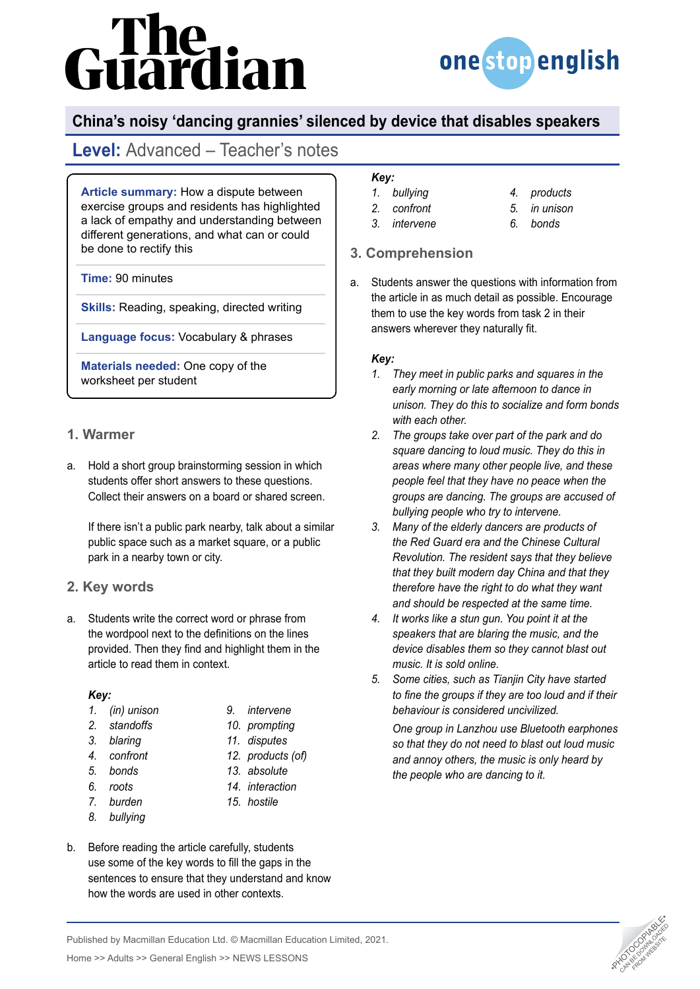# The<br>uardian



## **China's noisy 'dancing grannies' silenced by device that disables speakers**

# **Level:** Advanced – Teacher's notes

**Article summary:** How a dispute between exercise groups and residents has highlighted a lack of empathy and understanding between different generations, and what can or could be done to rectify this

**Time:** 90 minutes

**Skills:** Reading, speaking, directed writing

**Language focus:** Vocabulary & phrases

**Materials needed:** One copy of the worksheet per student

## **1. Warmer**

a. Hold a short group brainstorming session in which students offer short answers to these questions. Collect their answers on a board or shared screen.

If there isn't a public park nearby, talk about a similar public space such as a market square, or a public park in a nearby town or city.

## **2. Key words**

a. Students write the correct word or phrase from the wordpool next to the definitions on the lines provided. Then they find and highlight them in the article to read them in context.

#### *Key:*

- *1. (in) unison*
- *2. standoffs*
- 
- *3. blaring 4. confront*
- *5. bonds*
- 
- *6. roots*
- *7. burden*
- *8. bullying*
- *9. intervene 10. prompting*
	-
- *11. disputes 12. products (of)*
- *13. absolute*
- *14. interaction*
- *15. hostile*
- 
- b. Before reading the article carefully, students use some of the key words to fill the gaps in the sentences to ensure that they understand and know how the words are used in other contexts.

### *Key:*

- *1. bullying*
- *2. confront*
- *3. intervene*
- *4. products 5. in unison*
- 
- 
- 
- *6. bonds*
- 
- **3. Comprehension**
- a. Students answer the questions with information from the article in as much detail as possible. Encourage them to use the key words from task 2 in their answers wherever they naturally fit.

#### *Key:*

- *1. They meet in public parks and squares in the early morning or late afternoon to dance in unison. They do this to socialize and form bonds with each other.*
- *2. The groups take over part of the park and do square dancing to loud music. They do this in areas where many other people live, and these people feel that they have no peace when the groups are dancing. The groups are accused of bullying people who try to intervene.*
- *3. Many of the elderly dancers are products of the Red Guard era and the Chinese Cultural Revolution. The resident says that they believe that they built modern day China and that they therefore have the right to do what they want and should be respected at the same time.*
- *4. It works like a stun gun. You point it at the speakers that are blaring the music, and the device disables them so they cannot blast out music. It is sold online.*
- *5. Some cities, such as Tianjin City have started to fine the groups if they are too loud and if their behaviour is considered uncivilized.*

*One group in Lanzhou use Bluetooth earphones so that they do not need to blast out loud music and annoy others, the music is only heard by the people who are dancing to it.*



Published by Macmillan Education Ltd. © Macmillan Education Limited, 2021.